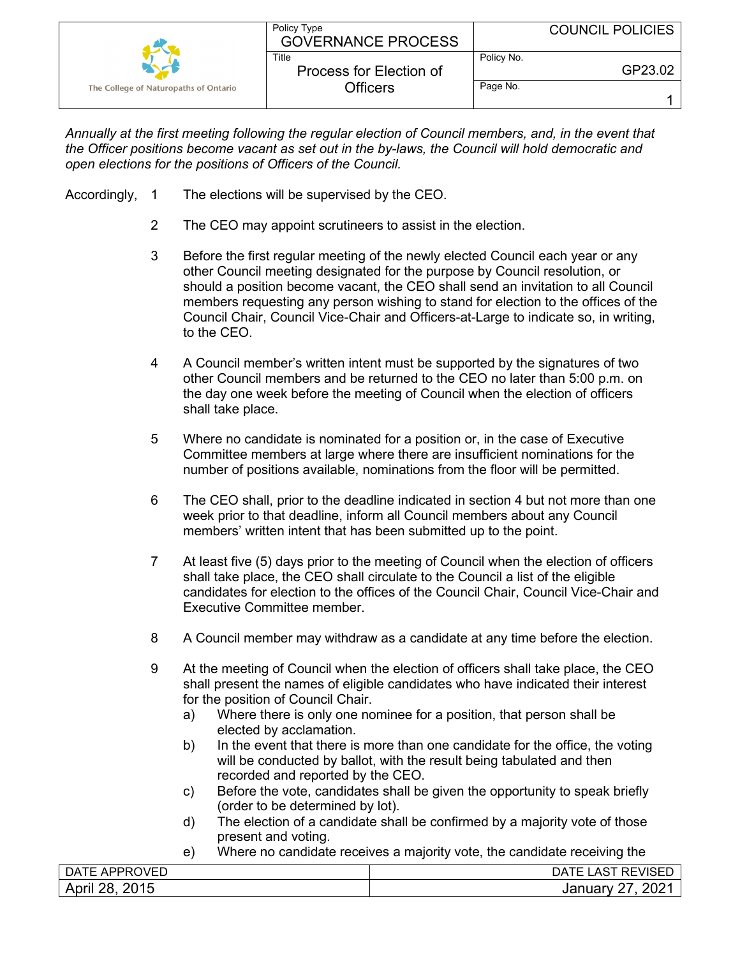|                                       | Policy Type<br><b>GOVERNANCE PROCESS</b> |            | <b>COUNCIL POLICIES</b> |
|---------------------------------------|------------------------------------------|------------|-------------------------|
|                                       | Title<br>Process for Election of         | Policy No. | GP23.02                 |
| The College of Naturopaths of Ontario | Officers                                 | Page No.   |                         |

*Annually at the first meeting following the regular election of Council members, and, in the event that the Officer positions become vacant as set out in the by-laws, the Council will hold democratic and open elections for the positions of Officers of the Council.*

- Accordingly, 1 The elections will be supervised by the CEO.
	- 2 The CEO may appoint scrutineers to assist in the election.
	- 3 Before the first regular meeting of the newly elected Council each year or any other Council meeting designated for the purpose by Council resolution, or should a position become vacant, the CEO shall send an invitation to all Council members requesting any person wishing to stand for election to the offices of the Council Chair, Council Vice-Chair and Officers-at-Large to indicate so, in writing, to the CEO.
	- 4 A Council member's written intent must be supported by the signatures of two other Council members and be returned to the CEO no later than 5:00 p.m. on the day one week before the meeting of Council when the election of officers shall take place.
	- 5 Where no candidate is nominated for a position or, in the case of Executive Committee members at large where there are insufficient nominations for the number of positions available, nominations from the floor will be permitted.
	- 6 The CEO shall, prior to the deadline indicated in section 4 but not more than one week prior to that deadline, inform all Council members about any Council members' written intent that has been submitted up to the point.
	- 7 At least five (5) days prior to the meeting of Council when the election of officers shall take place, the CEO shall circulate to the Council a list of the eligible candidates for election to the offices of the Council Chair, Council Vice-Chair and Executive Committee member.
	- 8 A Council member may withdraw as a candidate at any time before the election.
	- 9 At the meeting of Council when the election of officers shall take place, the CEO shall present the names of eligible candidates who have indicated their interest for the position of Council Chair.
		- a) Where there is only one nominee for a position, that person shall be elected by acclamation.
		- b) In the event that there is more than one candidate for the office, the voting will be conducted by ballot, with the result being tabulated and then recorded and reported by the CEO.
		- c) Before the vote, candidates shall be given the opportunity to speak briefly (order to be determined by lot).
		- d) The election of a candidate shall be confirmed by a majority vote of those present and voting.
		- e) Where no candidate receives a majority vote, the candidate receiving the

| )VED                                                        | $\sqrt{2}$        |
|-------------------------------------------------------------|-------------------|
| ⊤∆ل                                                         | REVISE            |
| APPR                                                        | JΡ                |
| ⊢                                                           | -                 |
| 2015<br>າຊ<br>$\mathbf{A}$<br>יי ווערי<br>∠∪ ≀∪<br><u>_</u> | 0.004<br>_<br>Jar |